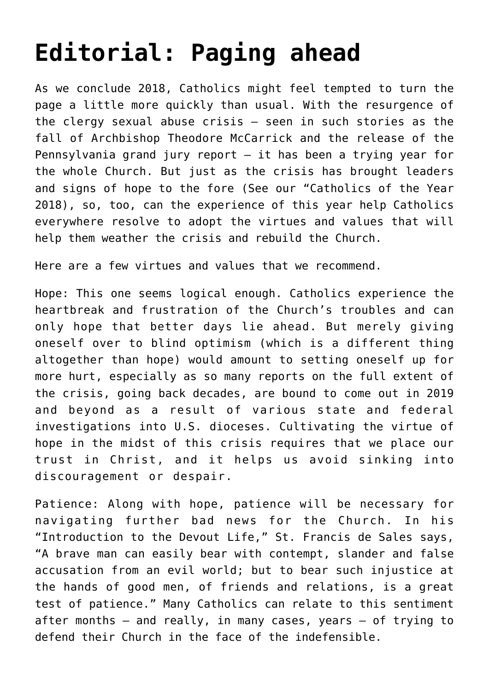## **[Editorial: Paging ahead](https://www.osvnews.com/2018/12/30/editorial-paging-ahead/)**

As we conclude 2018, Catholics might feel tempted to turn the page a little more quickly than usual. With the resurgence of the clergy sexual abuse crisis — seen in such stories as the fall of Archbishop Theodore McCarrick and the release of the Pennsylvania grand jury report — it has been a trying year for the whole Church. But just as the crisis has brought leaders and signs of hope to the fore (See our "Catholics of the Year 2018), so, too, can the experience of this year help Catholics everywhere resolve to adopt the virtues and values that will help them weather the crisis and rebuild the Church.

Here are a few virtues and values that we recommend.

Hope: This one seems logical enough. Catholics experience the heartbreak and frustration of the Church's troubles and can only hope that better days lie ahead. But merely giving oneself over to blind optimism (which is a different thing altogether than hope) would amount to setting oneself up for more hurt, especially as so many reports on the full extent of the crisis, going back decades, are bound to come out in 2019 and beyond as a result of various state and federal investigations into U.S. dioceses. Cultivating the virtue of hope in the midst of this crisis requires that we place our trust in Christ, and it helps us avoid sinking into discouragement or despair.

Patience: Along with hope, patience will be necessary for navigating further bad news for the Church. In his "Introduction to the Devout Life," St. Francis de Sales says, "A brave man can easily bear with contempt, slander and false accusation from an evil world; but to bear such injustice at the hands of good men, of friends and relations, is a great test of patience." Many Catholics can relate to this sentiment after months  $-$  and really, in many cases, years  $-$  of trying to defend their Church in the face of the indefensible.